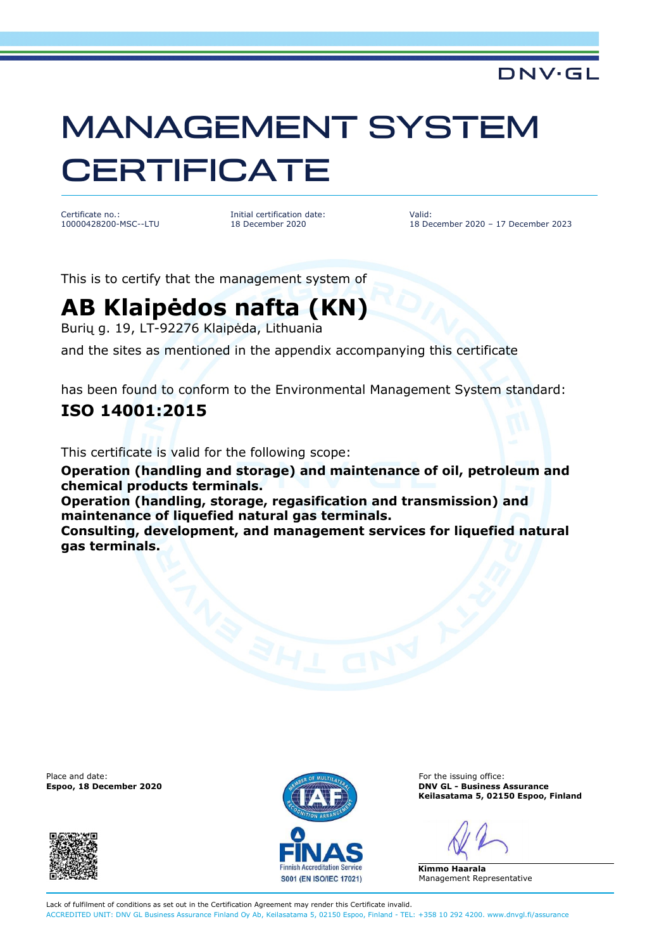### DNV·GL

# MANAGEMENT SYSTEM **CERTIFICATE**

Certificate no.: 10000428200-MSC--LTU Initial certification date: 18 December 2020

Valid: 18 December 2020 – 17 December 2023

This is to certify that the management system of

## **AB Klaipėdos nafta (KN)**

Burių g. 19, LT-92276 Klaipėda, Lithuania

and the sites as mentioned in the appendix accompanying this certificate

has been found to conform to the Environmental Management System standard:

#### **ISO 14001:2015**

This certificate is valid for the following scope:

**Operation (handling and storage) and maintenance of oil, petroleum and chemical products terminals.**

**Operation (handling, storage, regasification and transmission) and maintenance of liquefied natural gas terminals.**

**Consulting, development, and management services for liquefied natural gas terminals.**

Place and date: For the issuing office:





**Espoo, 18 December 2020 DNV GL - Business Assurance Keilasatama 5, 02150 Espoo, Finland** 

**Kimmo Haarala**  Management Representative

Lack of fulfilment of conditions as set out in the Certification Agreement may render this Certificate invalid. ACCREDITED UNIT: DNV GL Business Assurance Finland Oy Ab, Keilasatama 5, 02150 Espoo, Finland - TEL: +358 10 292 4200. www.dnvgl.fi/assurance